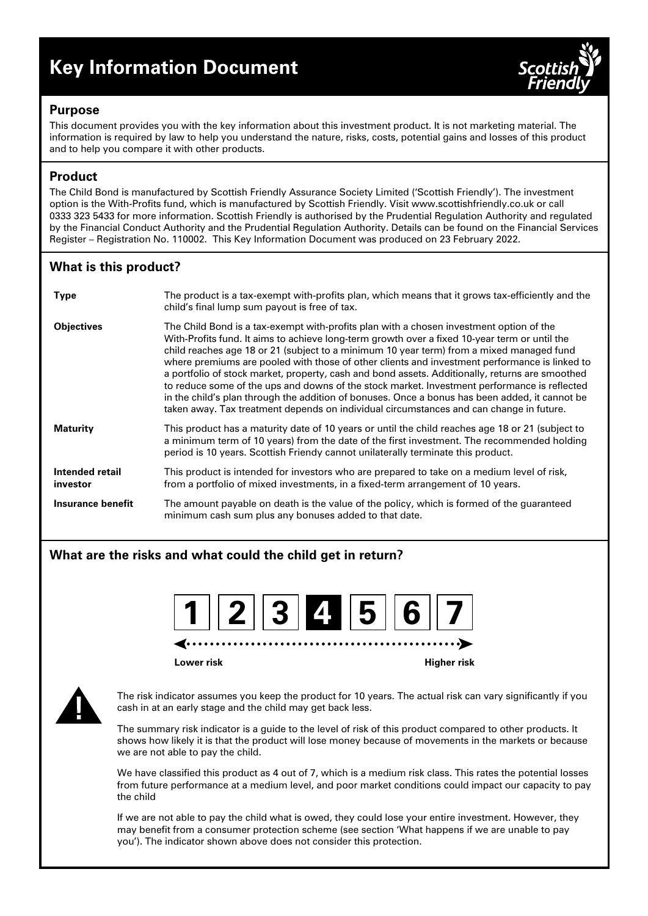# **Key Information Document**



## **Purpose**

This document provides you with the key information about this investment product. It is not marketing material. The information is required by law to help you understand the nature, risks, costs, potential gains and losses of this product and to help you compare it with other products.

# **Product**

The Child Bond is manufactured by Scottish Friendly Assurance Society Limited ('Scottish Friendly'). The investment option is the With-Profits fund, which is manufactured by Scottish Friendly. Visit www.scottishfriendly.co.uk or call 0333 323 5433 for more information. Scottish Friendly is authorised by the Prudential Regulation Authority and regulated by the Financial Conduct Authority and the Prudential Regulation Authority. Details can be found on the Financial Services Register – Registration No. 110002. This Key Information Document was produced on 23 February 2022.

# **What is this product?**

| <b>Type</b>                 | The product is a tax-exempt with-profits plan, which means that it grows tax-efficiently and the<br>child's final lump sum payout is free of tax.                                                                                                                                                                                                                                                                                                                                                                                                                                                                                                                                                                                                                                     |
|-----------------------------|---------------------------------------------------------------------------------------------------------------------------------------------------------------------------------------------------------------------------------------------------------------------------------------------------------------------------------------------------------------------------------------------------------------------------------------------------------------------------------------------------------------------------------------------------------------------------------------------------------------------------------------------------------------------------------------------------------------------------------------------------------------------------------------|
| <b>Objectives</b>           | The Child Bond is a tax-exempt with-profits plan with a chosen investment option of the<br>With-Profits fund. It aims to achieve long-term growth over a fixed 10-year term or until the<br>child reaches age 18 or 21 (subject to a minimum 10 year term) from a mixed managed fund<br>where premiums are pooled with those of other clients and investment performance is linked to<br>a portfolio of stock market, property, cash and bond assets. Additionally, returns are smoothed<br>to reduce some of the ups and downs of the stock market. Investment performance is reflected<br>in the child's plan through the addition of bonuses. Once a bonus has been added, it cannot be<br>taken away. Tax treatment depends on individual circumstances and can change in future. |
| <b>Maturity</b>             | This product has a maturity date of 10 years or until the child reaches age 18 or 21 (subject to<br>a minimum term of 10 years) from the date of the first investment. The recommended holding<br>period is 10 years. Scottish Friendy cannot unilaterally terminate this product.                                                                                                                                                                                                                                                                                                                                                                                                                                                                                                    |
| Intended retail<br>investor | This product is intended for investors who are prepared to take on a medium level of risk,<br>from a portfolio of mixed investments, in a fixed-term arrangement of 10 years.                                                                                                                                                                                                                                                                                                                                                                                                                                                                                                                                                                                                         |
| Insurance benefit           | The amount payable on death is the value of the policy, which is formed of the guaranteed<br>minimum cash sum plus any bonuses added to that date.                                                                                                                                                                                                                                                                                                                                                                                                                                                                                                                                                                                                                                    |

# **What are the risks and what could the child get in return?**



**Lower risk Higher risk**

The risk indicator assumes you keep the product for 10 years. The actual risk can vary significantly if you cash in at an early stage and the child may get back less.

The summary risk indicator is a guide to the level of risk of this product compared to other products. It shows how likely it is that the product will lose money because of movements in the markets or because we are not able to pay the child.

We have classified this product as 4 out of 7, which is a medium risk class. This rates the potential losses from future performance at a medium level, and poor market conditions could impact our capacity to pay the child

If we are not able to pay the child what is owed, they could lose your entire investment. However, they may benefit from a consumer protection scheme (see section 'What happens if we are unable to pay you'). The indicator shown above does not consider this protection.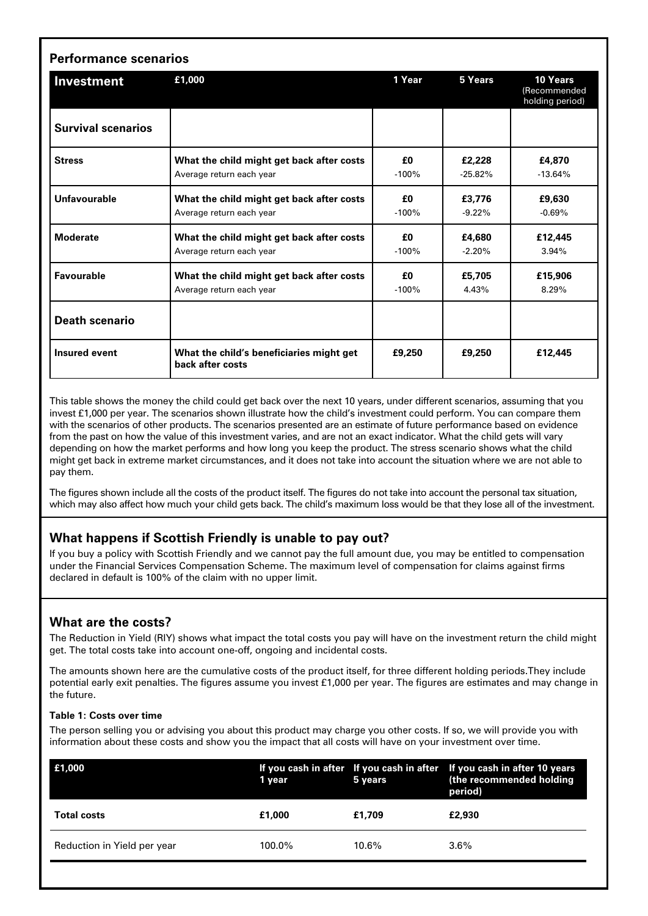| <b>Performance scenarios</b> |                                                                       |               |                     |                                             |  |  |
|------------------------------|-----------------------------------------------------------------------|---------------|---------------------|---------------------------------------------|--|--|
| Investment                   | £1,000                                                                | 1 Year        | 5 Years             | 10 Years<br>(Recommended<br>holding period) |  |  |
| <b>Survival scenarios</b>    |                                                                       |               |                     |                                             |  |  |
| <b>Stress</b>                | What the child might get back after costs<br>Average return each year | £0<br>$-100%$ | £2,228<br>$-25.82%$ | £4,870<br>$-13.64%$                         |  |  |
| Unfavourable                 | What the child might get back after costs<br>Average return each year | £0<br>$-100%$ | £3.776<br>$-9.22%$  | £9,630<br>$-0.69%$                          |  |  |
| <b>Moderate</b>              | What the child might get back after costs<br>Average return each year | £0<br>$-100%$ | £4.680<br>$-2.20%$  | £12,445<br>3.94%                            |  |  |
| <b>Favourable</b>            | What the child might get back after costs<br>Average return each year | £0<br>$-100%$ | £5,705<br>4.43%     | £15,906<br>8.29%                            |  |  |
| <b>Death scenario</b>        |                                                                       |               |                     |                                             |  |  |
| <b>Insured event</b>         | What the child's beneficiaries might get<br>back after costs          | £9,250        | £9,250              | £12,445                                     |  |  |

This table shows the money the child could get back over the next 10 years, under different scenarios, assuming that you invest £1,000 per year. The scenarios shown illustrate how the child's investment could perform. You can compare them with the scenarios of other products. The scenarios presented are an estimate of future performance based on evidence from the past on how the value of this investment varies, and are not an exact indicator. What the child gets will vary depending on how the market performs and how long you keep the product. The stress scenario shows what the child might get back in extreme market circumstances, and it does not take into account the situation where we are not able to pay them.

The figures shown include all the costs of the product itself. The figures do not take into account the personal tax situation, which may also affect how much your child gets back. The child's maximum loss would be that they lose all of the investment.

# **What happens if Scottish Friendly is unable to pay out?**

If you buy a policy with Scottish Friendly and we cannot pay the full amount due, you may be entitled to compensation under the Financial Services Compensation Scheme. The maximum level of compensation for claims against firms declared in default is 100% of the claim with no upper limit.

## **What are the costs?**

The Reduction in Yield (RIY) shows what impact the total costs you pay will have on the investment return the child might get. The total costs take into account one-off, ongoing and incidental costs.

The amounts shown here are the cumulative costs of the product itself, for three different holding periods.They include potential early exit penalties. The figures assume you invest £1,000 per year. The figures are estimates and may change in the future.

#### **Table 1: Costs over time**

The person selling you or advising you about this product may charge you other costs. If so, we will provide you with information about these costs and show you the impact that all costs will have on your investment over time.

| £1,000                      | 1 year | 5 years  | If you cash in after If you cash in after If you cash in after 10 years<br>(the recommended holding<br>period) |
|-----------------------------|--------|----------|----------------------------------------------------------------------------------------------------------------|
| <b>Total costs</b>          | £1.000 | £1,709   | £2,930                                                                                                         |
| Reduction in Yield per year | 100.0% | $10.6\%$ | $3.6\%$                                                                                                        |